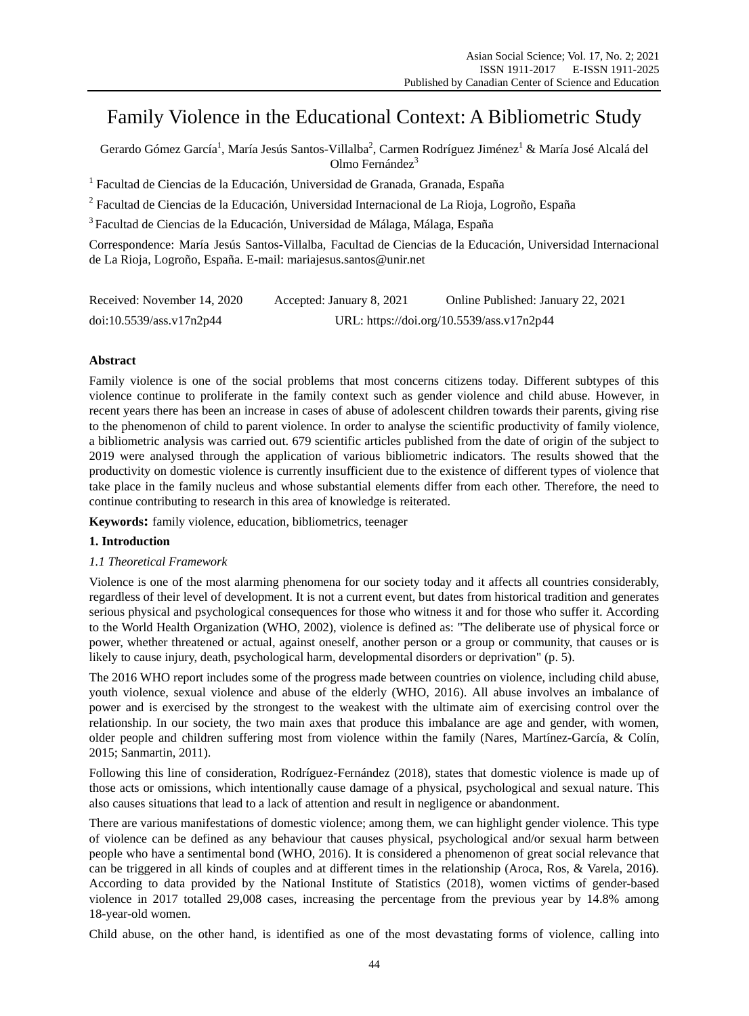# Family Violence in the Educational Context: A Bibliometric Study

Gerardo Gómez Garc á<sup>1</sup>, Mar á Jesús Santos-Villalba<sup>2</sup>, Carmen Rodr guez Jim ánez $^1$  & Mar á Jos é Alcal ádel Olmo Fernández<sup>3</sup>

<sup>1</sup> Facultad de Ciencias de la Educación, Universidad de Granada, Granada, España

 $^2$  Facultad de Ciencias de la Educación, Universidad Internacional de La Rioja, Logroño, España

<sup>3</sup> Facultad de Ciencias de la Educación, Universidad de Málaga, Málaga, España

Correspondence: María Jesús Santos-Villalba, Facultad de Ciencias de la Educación, Universidad Internacional de La Rioja, Logroño, España. E-mail: [mariajesus.santos@unir.n](mailto:mariajesus.santos@unir)et

| Received: November 14, 2020 | Accepted: January 8, 2021 | Online Published: January 22, 2021        |
|-----------------------------|---------------------------|-------------------------------------------|
| doi:10.5539/ass.v17n2p44    |                           | URL: https://doi.org/10.5539/ass.v17n2p44 |

# **Abstract**

Family violence is one of the social problems that most concerns citizens today. Different subtypes of this violence continue to proliferate in the family context such as gender violence and child abuse. However, in recent years there has been an increase in cases of abuse of adolescent children towards their parents, giving rise to the phenomenon of child to parent violence. In order to analyse the scientific productivity of family violence, a bibliometric analysis was carried out. 679 scientific articles published from the date of origin of the subject to 2019 were analysed through the application of various bibliometric indicators. The results showed that the productivity on domestic violence is currently insufficient due to the existence of different types of violence that take place in the family nucleus and whose substantial elements differ from each other. Therefore, the need to continue contributing to research in this area of knowledge is reiterated.

**Keywords:** family violence, education, bibliometrics, teenager

# **1. Introduction**

# *1.1 Theoretical Framework*

Violence is one of the most alarming phenomena for our society today and it affects all countries considerably, regardless of their level of development. It is not a current event, but dates from historical tradition and generates serious physical and psychological consequences for those who witness it and for those who suffer it. According to the World Health Organization (WHO, 2002), violence is defined as: "The deliberate use of physical force or power, whether threatened or actual, against oneself, another person or a group or community, that causes or is likely to cause injury, death, psychological harm, developmental disorders or deprivation" (p. 5).

The 2016 WHO report includes some of the progress made between countries on violence, including child abuse, youth violence, sexual violence and abuse of the elderly (WHO, 2016). All abuse involves an imbalance of power and is exercised by the strongest to the weakest with the ultimate aim of exercising control over the relationship. In our society, the two main axes that produce this imbalance are age and gender, with women, older people and children suffering most from violence within the family (Nares, Martínez-García, & Colín, 2015; Sanmartin, 2011).

Following this line of consideration, Rodr guez-Fern andez (2018), states that domestic violence is made up of those acts or omissions, which intentionally cause damage of a physical, psychological and sexual nature. This also causes situations that lead to a lack of attention and result in negligence or abandonment.

There are various manifestations of domestic violence; among them, we can highlight gender violence. This type of violence can be defined as any behaviour that causes physical, psychological and/or sexual harm between people who have a sentimental bond (WHO, 2016). It is considered a phenomenon of great social relevance that can be triggered in all kinds of couples and at different times in the relationship (Aroca, Ros, & Varela, 2016). According to data provided by the National Institute of Statistics (2018), women victims of gender-based violence in 2017 totalled 29,008 cases, increasing the percentage from the previous year by 14.8% among 18-year-old women.

Child abuse, on the other hand, is identified as one of the most devastating forms of violence, calling into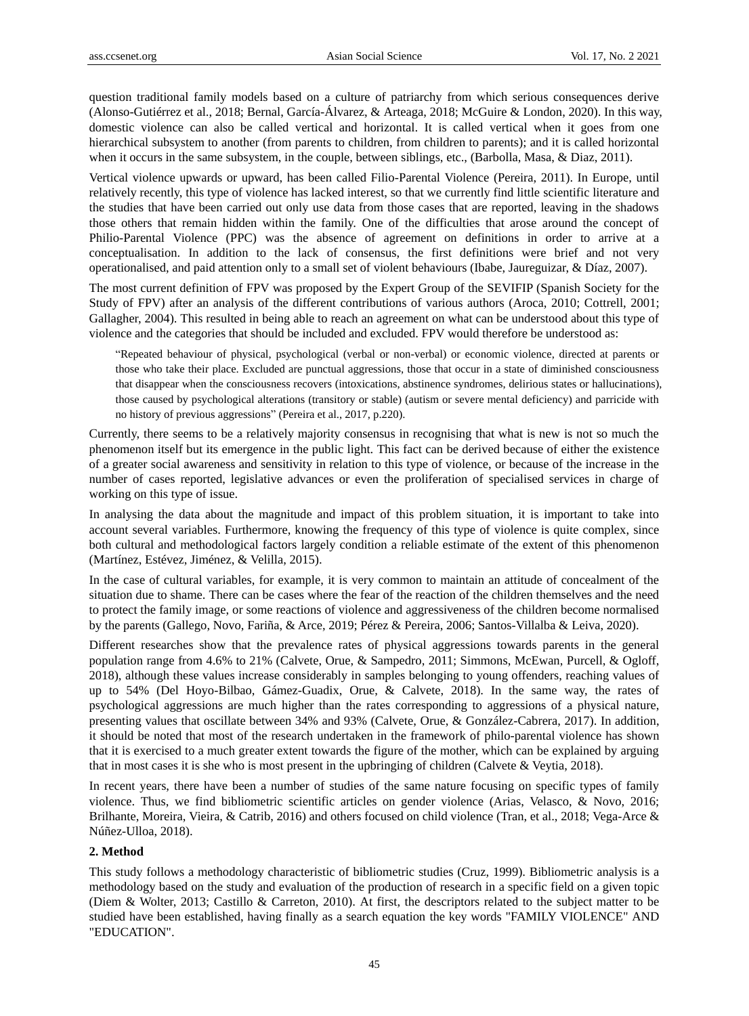question traditional family models based on a culture of patriarchy from which serious consequences derive (Alonso-Gutiérrez et al., 2018; Bernal, García-Álvarez, & Arteaga, 2018; McGuire & London, 2020). In this way, domestic violence can also be called vertical and horizontal. It is called vertical when it goes from one hierarchical subsystem to another (from parents to children, from children to parents); and it is called horizontal when it occurs in the same subsystem, in the couple, between siblings, etc., (Barbolla, Masa, & Diaz, 2011).

Vertical violence upwards or upward, has been called Filio-Parental Violence (Pereira, 2011). In Europe, until relatively recently, this type of violence has lacked interest, so that we currently find little scientific literature and the studies that have been carried out only use data from those cases that are reported, leaving in the shadows those others that remain hidden within the family. One of the difficulties that arose around the concept of Philio-Parental Violence (PPC) was the absence of agreement on definitions in order to arrive at a conceptualisation. In addition to the lack of consensus, the first definitions were brief and not very operationalised, and paid attention only to a small set of violent behaviours (Ibabe, Jaureguizar, & Díaz, 2007).

The most current definition of FPV was proposed by the Expert Group of the SEVIFIP (Spanish Society for the Study of FPV) after an analysis of the different contributions of various authors (Aroca, 2010; Cottrell, 2001; Gallagher, 2004). This resulted in being able to reach an agreement on what can be understood about this type of violence and the categories that should be included and excluded. FPV would therefore be understood as:

"Repeated behaviour of physical, psychological (verbal or non-verbal) or economic violence, directed at parents or those who take their place. Excluded are punctual aggressions, those that occur in a state of diminished consciousness that disappear when the consciousness recovers (intoxications, abstinence syndromes, delirious states or hallucinations), those caused by psychological alterations (transitory or stable) (autism or severe mental deficiency) and parricide with no history of previous aggressions" (Pereira et al., 2017, p.220).

Currently, there seems to be a relatively majority consensus in recognising that what is new is not so much the phenomenon itself but its emergence in the public light. This fact can be derived because of either the existence of a greater social awareness and sensitivity in relation to this type of violence, or because of the increase in the number of cases reported, legislative advances or even the proliferation of specialised services in charge of working on this type of issue.

In analysing the data about the magnitude and impact of this problem situation, it is important to take into account several variables. Furthermore, knowing the frequency of this type of violence is quite complex, since both cultural and methodological factors largely condition a reliable estimate of the extent of this phenomenon (Mart ínez, Estévez, Jiménez, & Velilla, 2015).

In the case of cultural variables, for example, it is very common to maintain an attitude of concealment of the situation due to shame. There can be cases where the fear of the reaction of the children themselves and the need to protect the family image, or some reactions of violence and aggressiveness of the children become normalised by the parents (Gallego, Novo, Fariña, & Arce, 2019; Pérez & Pereira, 2006; Santos-Villalba & Leiva, 2020).

Different researches show that the prevalence rates of physical aggressions towards parents in the general population range from 4.6% to 21% (Calvete, Orue, & Sampedro, 2011; Simmons, McEwan, Purcell, & Ogloff, 2018), although these values increase considerably in samples belonging to young offenders, reaching values of up to 54% (Del Hoyo-Bilbao, Gámez-Guadix, Orue, & Calvete, 2018). In the same way, the rates of psychological aggressions are much higher than the rates corresponding to aggressions of a physical nature, presenting values that oscillate between 34% and 93% (Calvete, Orue, & González-Cabrera, 2017). In addition, it should be noted that most of the research undertaken in the framework of philo-parental violence has shown that it is exercised to a much greater extent towards the figure of the mother, which can be explained by arguing that in most cases it is she who is most present in the upbringing of children (Calvete & Veytia, 2018).

In recent years, there have been a number of studies of the same nature focusing on specific types of family violence. Thus, we find bibliometric scientific articles on gender violence (Arias, Velasco, & Novo, 2016; Brilhante, Moreira, Vieira, & Catrib, 2016) and others focused on child violence (Tran, et al., 2018; Vega-Arce & Núñez-Ulloa, 2018).

## **2. Method**

This study follows a methodology characteristic of bibliometric studies (Cruz, 1999). Bibliometric analysis is a methodology based on the study and evaluation of the production of research in a specific field on a given topic (Diem & Wolter, 2013; Castillo & Carreton, 2010). At first, the descriptors related to the subject matter to be studied have been established, having finally as a search equation the key words "FAMILY VIOLENCE" AND "EDUCATION".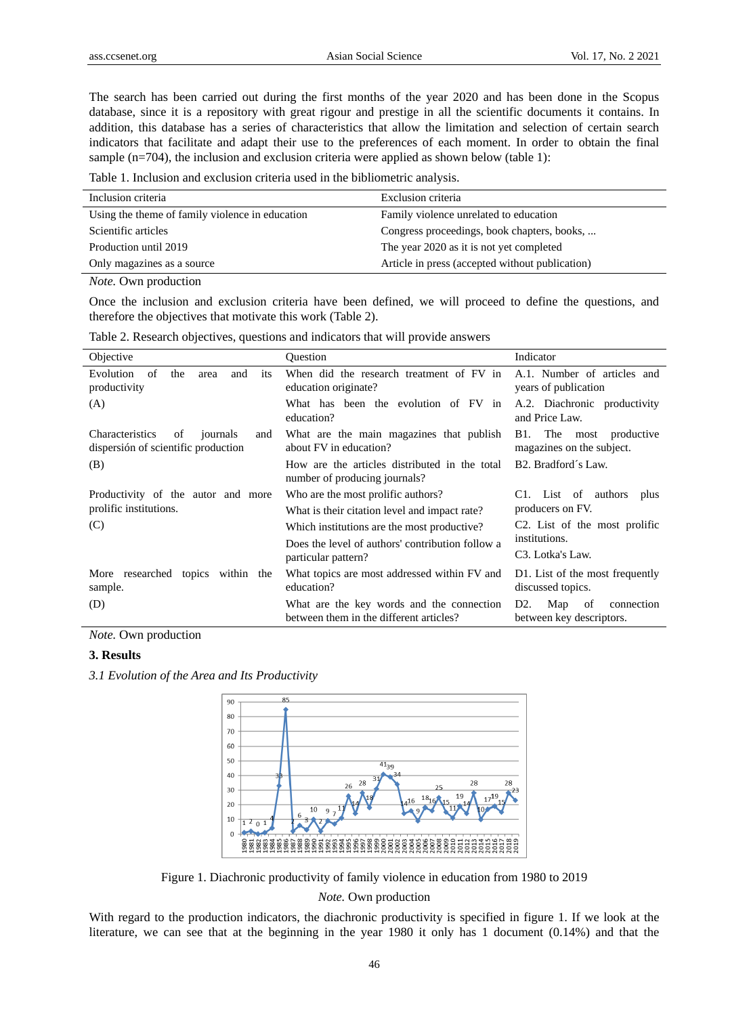The search has been carried out during the first months of the year 2020 and has been done in the Scopus database, since it is a repository with great rigour and prestige in all the scientific documents it contains. In addition, this database has a series of characteristics that allow the limitation and selection of certain search indicators that facilitate and adapt their use to the preferences of each moment. In order to obtain the final sample (n=704), the inclusion and exclusion criteria were applied as shown below (table 1):

Table 1. Inclusion and exclusion criteria used in the bibliometric analysis.

| Inclusion criteria                              | Exclusion criteria                              |
|-------------------------------------------------|-------------------------------------------------|
| Using the theme of family violence in education | Family violence unrelated to education          |
| Scientific articles                             | Congress proceedings, book chapters, books,     |
| Production until 2019                           | The year 2020 as it is not yet completed        |
| Only magazines as a source                      | Article in press (accepted without publication) |
|                                                 |                                                 |

*Note.* Own production

Once the inclusion and exclusion criteria have been defined, we will proceed to define the questions, and therefore the objectives that motivate this work (Table 2).

| Objective                                                                       | <b>Ouestion</b>                                                                      | Indicator                                                   |  |  |
|---------------------------------------------------------------------------------|--------------------------------------------------------------------------------------|-------------------------------------------------------------|--|--|
| Evolution<br>the<br>of<br>and<br>its<br>area<br>productivity                    | When did the research treatment of FV in<br>education originate?                     | A.1. Number of articles and<br>years of publication         |  |  |
| (A)                                                                             | What has been the evolution of FV in<br>education?                                   | A.2. Diachronic productivity<br>and Price Law.              |  |  |
| Characteristics<br>journals<br>of<br>and<br>dispersión of scientific production | What are the main magazines that publish<br>about FV in education?                   | The most<br>B1.<br>productive<br>magazines on the subject.  |  |  |
| (B)                                                                             | How are the articles distributed in the total<br>number of producing journals?       | B <sub>2</sub> . Bradford s Law.                            |  |  |
| Productivity of the autor and more                                              | Who are the most prolific authors?                                                   | C1. List of authors<br>plus                                 |  |  |
| prolific institutions.                                                          | What is their citation level and impact rate?                                        | producers on FV.                                            |  |  |
| (C)                                                                             | Which institutions are the most productive?                                          | C <sub>2</sub> . List of the most prolific<br>institutions. |  |  |
|                                                                                 | Does the level of authors' contribution follow a                                     |                                                             |  |  |
|                                                                                 | particular pattern?                                                                  | C <sub>3</sub> . Lotka's Law.                               |  |  |
| More researched topics within the<br>sample.                                    | What topics are most addressed within FV and<br>education?                           | D1. List of the most frequently<br>discussed topics.        |  |  |
| (D)                                                                             | What are the key words and the connection<br>between them in the different articles? | D2.<br>Map<br>connection<br>of<br>between key descriptors.  |  |  |

Table 2. Research objectives, questions and indicators that will provide answers

*Note.* Own production

#### **3. Results**

*3.1 Evolution of the Area and Its Productivity*



Figure 1. Diachronic productivity of family violence in education from 1980 to 2019

*Note.* Own production

With regard to the production indicators, the diachronic productivity is specified in figure 1. If we look at the literature, we can see that at the beginning in the year 1980 it only has 1 document (0.14%) and that the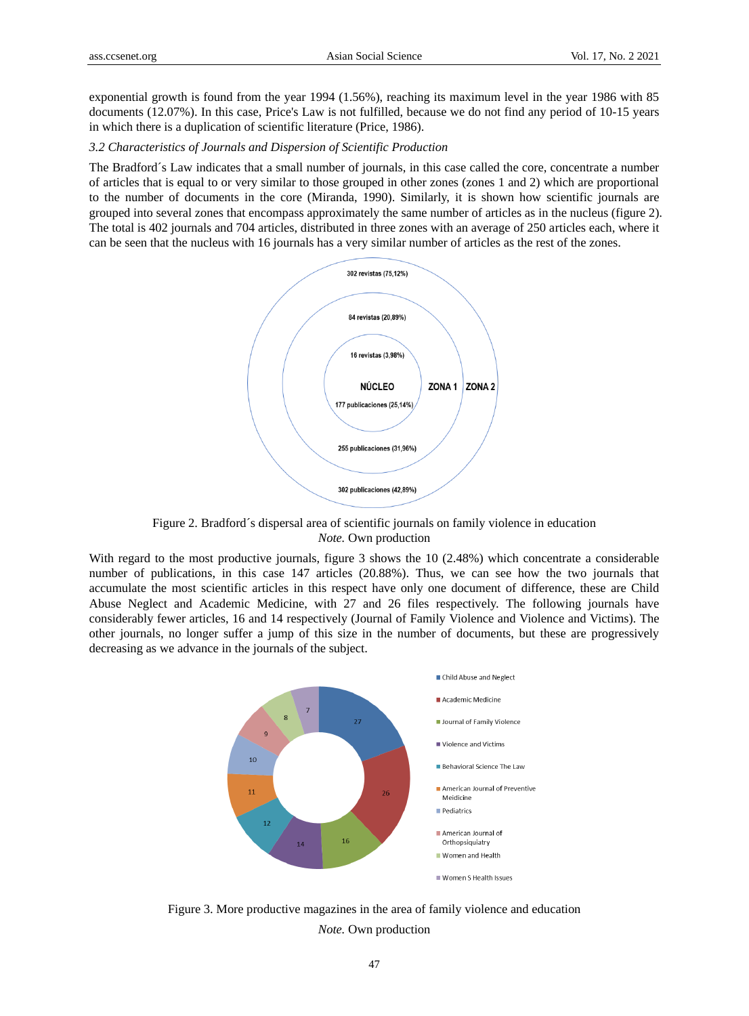exponential growth is found from the year 1994 (1.56%), reaching its maximum level in the year 1986 with 85 documents (12.07%). In this case, Price's Law is not fulfilled, because we do not find any period of 10-15 years in which there is a duplication of scientific literature (Price, 1986).

## *3.2 Characteristics of Journals and Dispersion of Scientific Production*

The Bradford´s Law indicates that a small number of journals, in this case called the core, concentrate a number of articles that is equal to or very similar to those grouped in other zones (zones 1 and 2) which are proportional to the number of documents in the core (Miranda, 1990). Similarly, it is shown how scientific journals are grouped into several zones that encompass approximately the same number of articles as in the nucleus (figure 2). The total is 402 journals and 704 articles, distributed in three zones with an average of 250 articles each, where it can be seen that the nucleus with 16 journals has a very similar number of articles as the rest of the zones.



Figure 2. Bradford  $\acute{\text{s}}$  dispersal area of scientific journals on family violence in education *Note.* Own production

With regard to the most productive journals, figure 3 shows the 10 (2.48%) which concentrate a considerable number of publications, in this case 147 articles (20.88%). Thus, we can see how the two journals that accumulate the most scientific articles in this respect have only one document of difference, these are Child Abuse Neglect and Academic Medicine, with 27 and 26 files respectively. The following journals have considerably fewer articles, 16 and 14 respectively (Journal of Family Violence and Violence and Victims). The other journals, no longer suffer a jump of this size in the number of documents, but these are progressively decreasing as we advance in the journals of the subject.



Figure 3. More productive magazines in the area of family violence and education *Note.* Own production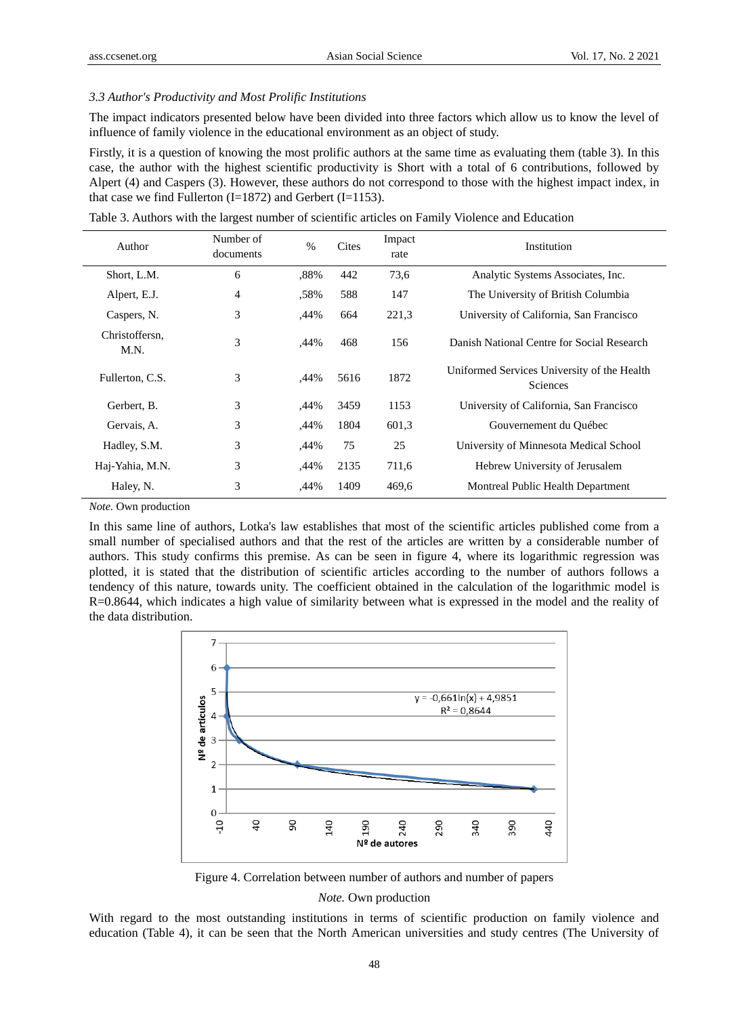#### *3.3 Author's Productivity and Most Prolific Institutions*

The impact indicators presented below have been divided into three factors which allow us to know the level of influence of family violence in the educational environment as an object of study.

Firstly, it is a question of knowing the most prolific authors at the same time as evaluating them (table 3). In this case, the author with the highest scientific productivity is Short with a total of 6 contributions, followed by Alpert (4) and Caspers (3). However, these authors do not correspond to those with the highest impact index, in that case we find Fullerton  $(I=1872)$  and Gerbert  $(I=1153)$ .

| Author                 | Number of<br>documents | $\%$ | Cites | Impact<br>rate | Institution                                                    |  |
|------------------------|------------------------|------|-------|----------------|----------------------------------------------------------------|--|
| Short, L.M.            | 6                      | .88% | 442   | 73,6           | Analytic Systems Associates, Inc.                              |  |
| Alpert, E.J.           | 4                      | ,58% | 588   | 147            | The University of British Columbia                             |  |
| Caspers, N.            | 3                      | ,44% | 664   | 221,3          | University of California, San Francisco                        |  |
| Christoffersn.<br>M.N. | 3                      | ,44% | 468   | 156            | Danish National Centre for Social Research                     |  |
| Fullerton, C.S.        | 3                      | ,44% | 5616  | 1872           | Uniformed Services University of the Health<br><b>Sciences</b> |  |
| Gerbert, B.            | 3                      | ,44% | 3459  | 1153           | University of California, San Francisco                        |  |
| Gervais, A.            | 3                      | ,44% | 1804  | 601,3          | Gouvernement du Québec                                         |  |
| Hadley, S.M.           | 3                      | ,44% | 75    | 25             | University of Minnesota Medical School                         |  |
| Haj-Yahia, M.N.        | 3                      | ,44% | 2135  | 711,6          | Hebrew University of Jerusalem                                 |  |
| Haley, N.              | 3                      | ,44% | 1409  | 469,6          | Montreal Public Health Department                              |  |

Table 3. Authors with the largest number of scientific articles on Family Violence and Education

*Note.* Own production

In this same line of authors, Lotka's law establishes that most of the scientific articles published come from a small number of specialised authors and that the rest of the articles are written by a considerable number of authors. This study confirms this premise. As can be seen in figure 4, where its logarithmic regression was plotted, it is stated that the distribution of scientific articles according to the number of authors follows a tendency of this nature, towards unity. The coefficient obtained in the calculation of the logarithmic model is R=0.8644, which indicates a high value of similarity between what is expressed in the model and the reality of the data distribution.



Figure 4. Correlation between number of authors and number of papers

*Note.* Own production

With regard to the most outstanding institutions in terms of scientific production on family violence and education (Table 4), it can be seen that the North American universities and study centres (The University of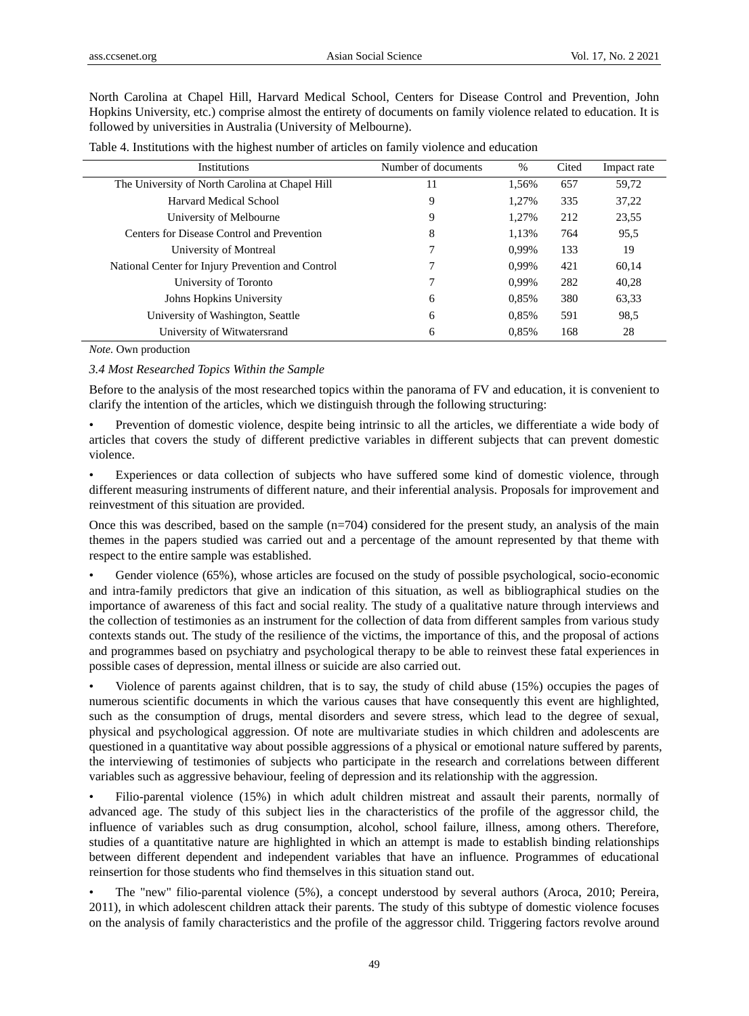North Carolina at Chapel Hill, Harvard Medical School, Centers for Disease Control and Prevention, John Hopkins University, etc.) comprise almost the entirety of documents on family violence related to education. It is followed by universities in Australia (University of Melbourne).

| Institutions                                      | Number of documents | %     | Cited | Impact rate |
|---------------------------------------------------|---------------------|-------|-------|-------------|
| The University of North Carolina at Chapel Hill   | 11                  | 1,56% | 657   | 59,72       |
| Harvard Medical School                            | 9                   | 1.27% | 335   | 37,22       |
| University of Melbourne                           | 9                   | 1.27% | 212   | 23,55       |
| Centers for Disease Control and Prevention        | 8                   | 1.13% | 764   | 95.5        |
| University of Montreal                            | 7                   | 0.99% | 133   | 19          |
| National Center for Injury Prevention and Control |                     | 0.99% | 421   | 60,14       |
| University of Toronto                             |                     | 0.99% | 282   | 40,28       |
| Johns Hopkins University                          | 6                   | 0.85% | 380   | 63,33       |
| University of Washington, Seattle                 | 6                   | 0.85% | 591   | 98.5        |
| University of Witwatersrand                       | 6                   | 0.85% | 168   | 28          |

Table 4. Institutions with the highest number of articles on family violence and education

*Note.* Own production

## *3.4 Most Researched Topics Within the Sample*

Before to the analysis of the most researched topics within the panorama of FV and education, it is convenient to clarify the intention of the articles, which we distinguish through the following structuring:

• Prevention of domestic violence, despite being intrinsic to all the articles, we differentiate a wide body of articles that covers the study of different predictive variables in different subjects that can prevent domestic violence.

Experiences or data collection of subjects who have suffered some kind of domestic violence, through different measuring instruments of different nature, and their inferential analysis. Proposals for improvement and reinvestment of this situation are provided.

Once this was described, based on the sample (n=704) considered for the present study, an analysis of the main themes in the papers studied was carried out and a percentage of the amount represented by that theme with respect to the entire sample was established.

Gender violence (65%), whose articles are focused on the study of possible psychological, socio-economic and intra-family predictors that give an indication of this situation, as well as bibliographical studies on the importance of awareness of this fact and social reality. The study of a qualitative nature through interviews and the collection of testimonies as an instrument for the collection of data from different samples from various study contexts stands out. The study of the resilience of the victims, the importance of this, and the proposal of actions and programmes based on psychiatry and psychological therapy to be able to reinvest these fatal experiences in possible cases of depression, mental illness or suicide are also carried out.

• Violence of parents against children, that is to say, the study of child abuse (15%) occupies the pages of numerous scientific documents in which the various causes that have consequently this event are highlighted, such as the consumption of drugs, mental disorders and severe stress, which lead to the degree of sexual, physical and psychological aggression. Of note are multivariate studies in which children and adolescents are questioned in a quantitative way about possible aggressions of a physical or emotional nature suffered by parents, the interviewing of testimonies of subjects who participate in the research and correlations between different variables such as aggressive behaviour, feeling of depression and its relationship with the aggression.

• Filio-parental violence (15%) in which adult children mistreat and assault their parents, normally of advanced age. The study of this subject lies in the characteristics of the profile of the aggressor child, the influence of variables such as drug consumption, alcohol, school failure, illness, among others. Therefore, studies of a quantitative nature are highlighted in which an attempt is made to establish binding relationships between different dependent and independent variables that have an influence. Programmes of educational reinsertion for those students who find themselves in this situation stand out.

• The "new" filio-parental violence (5%), a concept understood by several authors (Aroca, 2010; Pereira, 2011), in which adolescent children attack their parents. The study of this subtype of domestic violence focuses on the analysis of family characteristics and the profile of the aggressor child. Triggering factors revolve around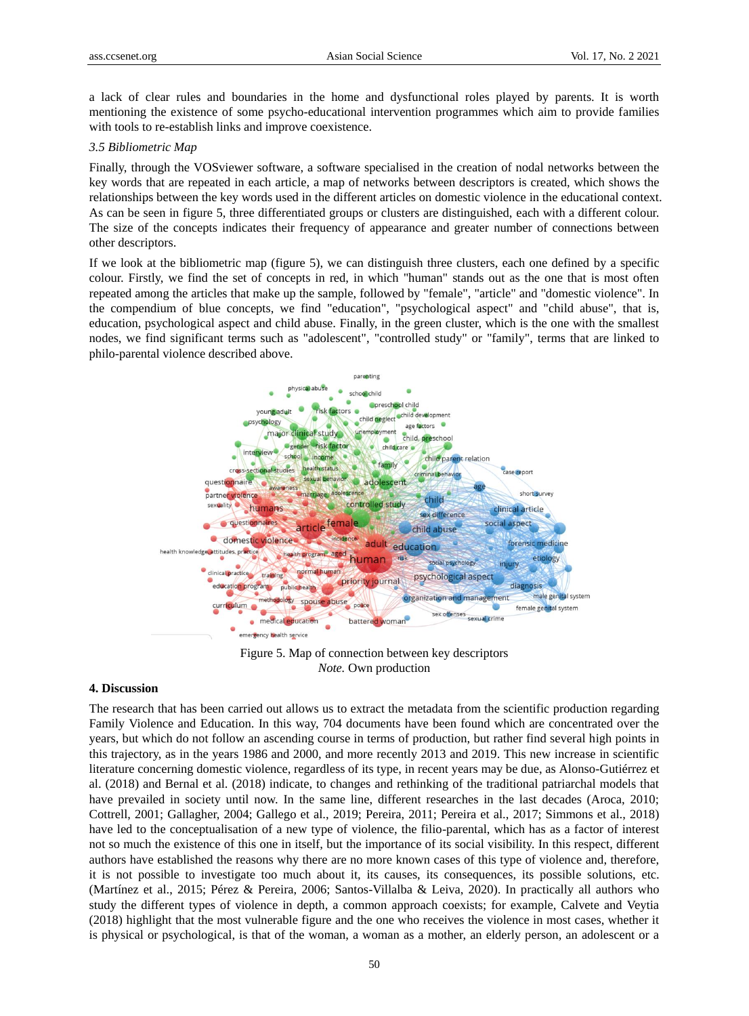a lack of clear rules and boundaries in the home and dysfunctional roles played by parents. It is worth mentioning the existence of some psycho-educational intervention programmes which aim to provide families with tools to re-establish links and improve coexistence.

## *3.5 Bibliometric Map*

Finally, through the VOSviewer software, a software specialised in the creation of nodal networks between the key words that are repeated in each article, a map of networks between descriptors is created, which shows the relationships between the key words used in the different articles on domestic violence in the educational context. As can be seen in figure 5, three differentiated groups or clusters are distinguished, each with a different colour. The size of the concepts indicates their frequency of appearance and greater number of connections between other descriptors.

If we look at the bibliometric map (figure 5), we can distinguish three clusters, each one defined by a specific colour. Firstly, we find the set of concepts in red, in which "human" stands out as the one that is most often repeated among the articles that make up the sample, followed by "female", "article" and "domestic violence". In the compendium of blue concepts, we find "education", "psychological aspect" and "child abuse", that is, education, psychological aspect and child abuse. Finally, in the green cluster, which is the one with the smallest nodes, we find significant terms such as "adolescent", "controlled study" or "family", terms that are linked to philo-parental violence described above.



Figure 5. Map of connection between key descriptors *Note.* Own production

# **4. Discussion**

The research that has been carried out allows us to extract the metadata from the scientific production regarding Family Violence and Education. In this way, 704 documents have been found which are concentrated over the years, but which do not follow an ascending course in terms of production, but rather find several high points in this trajectory, as in the years 1986 and 2000, and more recently 2013 and 2019. This new increase in scientific literature concerning domestic violence, regardless of its type, in recent years may be due, as Alonso-Gutiérrez et al. (2018) and Bernal et al. (2018) indicate, to changes and rethinking of the traditional patriarchal models that have prevailed in society until now. In the same line, different researches in the last decades (Aroca, 2010; Cottrell, 2001; Gallagher, 2004; Gallego et al., 2019; Pereira, 2011; Pereira et al., 2017; Simmons et al., 2018) have led to the conceptualisation of a new type of violence, the filio-parental, which has as a factor of interest not so much the existence of this one in itself, but the importance of its social visibility. In this respect, different authors have established the reasons why there are no more known cases of this type of violence and, therefore, it is not possible to investigate too much about it, its causes, its consequences, its possible solutions, etc. (Martínez et al., 2015; Pérez & Pereira, 2006; Santos-Villalba & Leiva, 2020). In practically all authors who study the different types of violence in depth, a common approach coexists; for example, Calvete and Veytia (2018) highlight that the most vulnerable figure and the one who receives the violence in most cases, whether it is physical or psychological, is that of the woman, a woman as a mother, an elderly person, an adolescent or a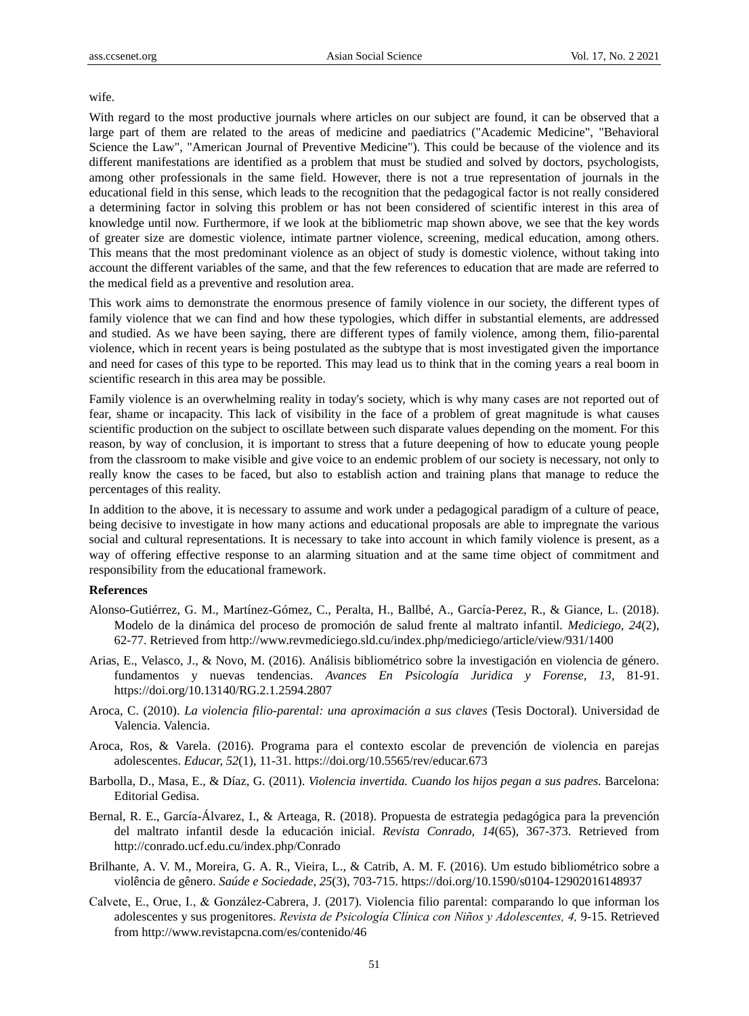#### wife.

With regard to the most productive journals where articles on our subject are found, it can be observed that a large part of them are related to the areas of medicine and paediatrics ("Academic Medicine", "Behavioral Science the Law", "American Journal of Preventive Medicine"). This could be because of the violence and its different manifestations are identified as a problem that must be studied and solved by doctors, psychologists, among other professionals in the same field. However, there is not a true representation of journals in the educational field in this sense, which leads to the recognition that the pedagogical factor is not really considered a determining factor in solving this problem or has not been considered of scientific interest in this area of knowledge until now. Furthermore, if we look at the bibliometric map shown above, we see that the key words of greater size are domestic violence, intimate partner violence, screening, medical education, among others. This means that the most predominant violence as an object of study is domestic violence, without taking into account the different variables of the same, and that the few references to education that are made are referred to the medical field as a preventive and resolution area.

This work aims to demonstrate the enormous presence of family violence in our society, the different types of family violence that we can find and how these typologies, which differ in substantial elements, are addressed and studied. As we have been saying, there are different types of family violence, among them, filio-parental violence, which in recent years is being postulated as the subtype that is most investigated given the importance and need for cases of this type to be reported. This may lead us to think that in the coming years a real boom in scientific research in this area may be possible.

Family violence is an overwhelming reality in today's society, which is why many cases are not reported out of fear, shame or incapacity. This lack of visibility in the face of a problem of great magnitude is what causes scientific production on the subject to oscillate between such disparate values depending on the moment. For this reason, by way of conclusion, it is important to stress that a future deepening of how to educate young people from the classroom to make visible and give voice to an endemic problem of our society is necessary, not only to really know the cases to be faced, but also to establish action and training plans that manage to reduce the percentages of this reality.

In addition to the above, it is necessary to assume and work under a pedagogical paradigm of a culture of peace, being decisive to investigate in how many actions and educational proposals are able to impregnate the various social and cultural representations. It is necessary to take into account in which family violence is present, as a way of offering effective response to an alarming situation and at the same time object of commitment and responsibility from the educational framework.

## **References**

- Alonso-Gutiérrez, G. M., Martínez-Gómez, C., Peralta, H., Ballbé, A., García-Perez, R., & Giance, L. (2018). Modelo de la dinámica del proceso de promoción de salud frente al maltrato infantil. *Mediciego, 24*(2), 62-77. Retrieved fro[m http://www.revmediciego.sld.cu/index.php/mediciego/article/view/931/1400](http://www.revmediciego.sld.cu/index.php/mediciego/article/view/931/1400)
- Arias, E., Velasco, J., & Novo, M. (2016). Análisis bibliométrico sobre la investigación en violencia de género. fundamentos y nuevas tendencias. *Avances En Psicología Juridica y Forense, 13,* 81-91. <https://doi.org/10.13140/RG.2.1.2594.2807>
- Aroca, C. (2010). *La violencia filio-parental: una aproximación a sus claves* (Tesis Doctoral). Universidad de Valencia. Valencia.
- Aroca, Ros, & Varela. (2016). Programa para el contexto escolar de prevención de violencia en parejas adolescentes. *Educar, 52*(1), 11-31.<https://doi.org/10.5565/rev/educar.673>
- Barbolla, D., Masa, E., & Díaz, G. (2011). *Violencia invertida. Cuando los hijos pegan a sus padres.* Barcelona: Editorial Gedisa.
- Bernal, R. E., Garc á-Álvarez, I., & Arteaga, R. (2018). Propuesta de estrategia pedagógica para la prevención del maltrato infantil desde la educación inicial. *Revista Conrado, 14*(65), 367-373. Retrieved from http://conrado.ucf.edu.cu/index.php/Conrado
- Brilhante, A. V. M., Moreira, G. A. R., Vieira, L., & Catrib, A. M. F. (2016). Um estudo bibliométrico sobre a violência de gênero. *Saúde e Sociedade, 25*(3), 703-715.<https://doi.org/10.1590/s0104-12902016148937>
- Calvete, E., Orue, I., & González-Cabrera, J. (2017). Violencia filio parental: comparando lo que informan los adolescentes y sus progenitores. *Revista de Psicología Clínica con Niños y Adolescentes, 4,* 9-15. Retrieved from<http://www.revistapcna.com/es/contenido/46>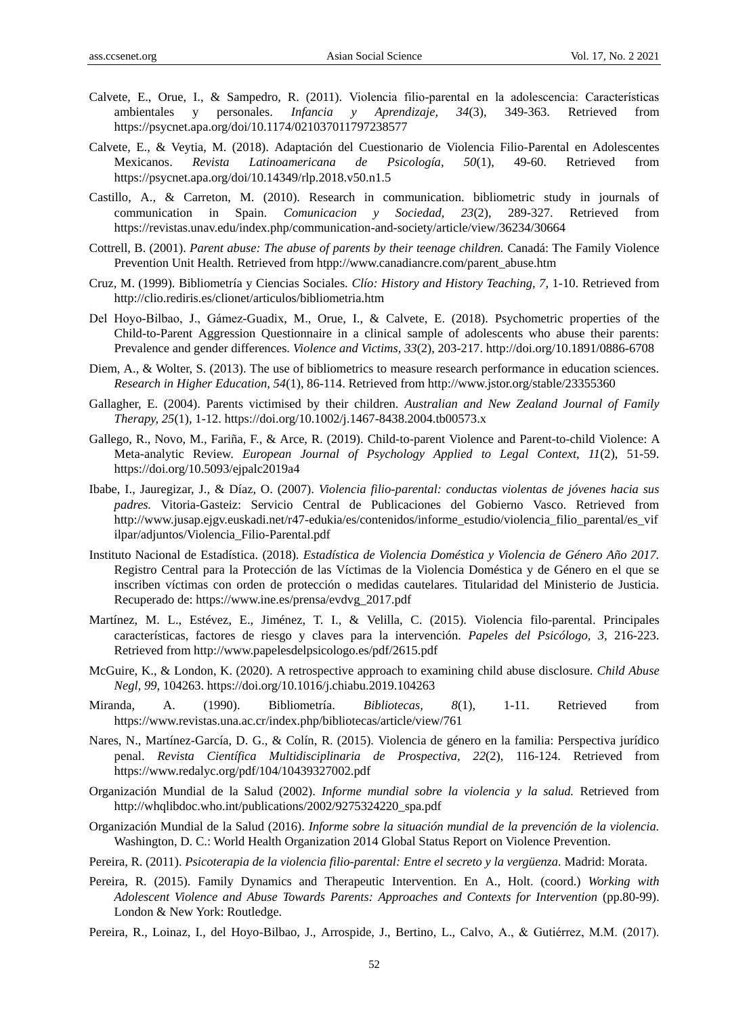- Calvete, E., Orue, I., & Sampedro, R. (2011). Violencia filio-parental en la adolescencia: Características ambientales y personales. *Infancia y Aprendizaje, 34*(3), 349-363. Retrieved from <https://psycnet.apa.org/doi/10.1174/021037011797238577>
- Calvete, E., & Veytia, M. (2018). Adaptación del Cuestionario de Violencia Filio-Parental en Adolescentes Mexicanos. *Revista Latinoamericana de Psicología, 50*(1), 49-60. Retrieved from <https://psycnet.apa.org/doi/10.14349/rlp.2018.v50.n1.5>
- Castillo, A., & Carreton, M. (2010). Research in communication. bibliometric study in journals of communication in Spain. *Comunicacion y Sociedad, 23*(2), 289-327. Retrieved from <https://revistas.unav.edu/index.php/communication-and-society/article/view/36234/30664>
- Cottrell, B. (2001). *Parent abuse: The abuse of parents by their teenage children*. Canad á The Family Violence Prevention Unit Health. Retrieved from htpp://www.canadiancre.com/parent\_abuse.htm
- Cruz, M. (1999). Bibliometría y Ciencias Sociales. *Clío: History and History Teaching, 7,* 1-10. Retrieved from <http://clio.rediris.es/clionet/articulos/bibliometria.htm>
- Del Hoyo-Bilbao, J., Gámez-Guadix, M., Orue, I., & Calvete, E. (2018). Psychometric properties of the Child-to-Parent Aggression Questionnaire in a clinical sample of adolescents who abuse their parents: Prevalence and gender differences. *Violence and Victims, 33*(2), 203-217[. http://doi.org/10.1891/0886-6708](http://doi.org/10.1891/0886-6708)
- Diem, A., & Wolter, S. (2013). The use of bibliometrics to measure research performance in education sciences. *Research in Higher Education, 54*(1), 86-114. Retrieved from<http://www.jstor.org/stable/23355360>
- Gallagher, E. (2004). Parents victimised by their children. *Australian and New Zealand Journal of Family Therapy, 25*(1), 1-12[. https://doi.org/10.1002/j.1467-8438.2004.tb00573.x](https://doi.org/10.1002/j.1467-8438.2004.tb00573.x)
- Gallego, R., Novo, M., Fariña, F., & Arce, R. (2019). Child-to-parent Violence and Parent-to-child Violence: A Meta-analytic Review. *European Journal of Psychology Applied to Legal Context, 11*(2), 51-59. <https://doi.org/10.5093/ejpalc2019a4>
- Ibabe, I., Jauregizar, J., & Díaz, O. (2007). *Violencia filio-parental: conductas violentas de jóvenes hacia sus padres.* Vitoria-Gasteiz: Servicio Central de Publicaciones del Gobierno Vasco. Retrieved from [http://www.jusap.ejgv.euskadi.net/r47-edukia/es/contenidos/informe\\_estudio/violencia\\_filio\\_parental/es\\_vif](http://www.jusap.ejgv.euskadi.net/r47-edukia/es/contenidos/informe_estudio/violencia_filio_parental/es_vifilpar/adjuntos/Violencia_Filio-Parental.pdf) [ilpar/adjuntos/Violencia\\_Filio-Parental.pdf](http://www.jusap.ejgv.euskadi.net/r47-edukia/es/contenidos/informe_estudio/violencia_filio_parental/es_vifilpar/adjuntos/Violencia_Filio-Parental.pdf)
- Instituto Nacional de Estadística. (2018). *Estadística de Violencia Doméstica y Violencia de Género Año 2017.* Registro Central para la Protección de las Víctimas de la Violencia Doméstica y de Género en el que se inscriben víctimas con orden de protección o medidas cautelares. Titularidad del Ministerio de Justicia. Recuperado de: [https://www.ine.es/prensa/evdvg\\_2017.pdf](https://www.ine.es/prensa/evdvg_2017.pdf)
- Martínez, M. L., Estévez, E., Jiménez, T. I., & Velilla, C. (2015). Violencia filo-parental. Principales características, factores de riesgo y claves para la intervención. *Papeles del Psicólogo, 3,* 216-223. Retrieved from http://www.papelesdelpsicologo.es/pdf/2615.pdf
- McGuire, K., & London, K. (2020). A retrospective approach to examining child abuse disclosure. *Child Abuse Negl, 99,* 104263.<https://doi.org/10.1016/j.chiabu.2019.104263>
- Miranda, A. (1990). Bibliometría. *Bibliotecas, 8*(1), 1-11. Retrieved from <https://www.revistas.una.ac.cr/index.php/bibliotecas/article/view/761>
- Nares, N., Mart ínez-García, D. G., & Colín, R. (2015). Violencia de género en la familia: Perspectiva jurídico penal. *Revista Científica Multidisciplinaria de Prospectiva, 22*(2), 116-124. Retrieved from <https://www.redalyc.org/pdf/104/10439327002.pdf>
- Organización Mundial de la Salud (2002). *Informe mundial sobre la violencia y la salud.* Retrieved from [http://whqlibdoc.who.int/publications/2002/9275324220\\_spa.pdf](http://whqlibdoc.who.int/publications/2002/9275324220_spa.pdf)
- Organización Mundial de la Salud (2016). *Informe sobre la situación mundial de la prevención de la violencia.* Washington, D. C.: World Health Organization 2014 Global Status Report on Violence Prevention.
- Pereira, R. (2011). *Psicoterapia de la violencia filio-parental: Entre el secreto y la vergüenza.* Madrid: Morata.
- Pereira, R. (2015). Family Dynamics and Therapeutic Intervention. En A., Holt. (coord.) *Working with Adolescent Violence and Abuse Towards Parents: Approaches and Contexts for Intervention* (pp.80-99). London & New York: Routledge.
- Pereira, R., Loinaz, I., del Hoyo-Bilbao, J., Arrospide, J., Bertino, L., Calvo, A., & Gutiérrez, M.M. (2017).